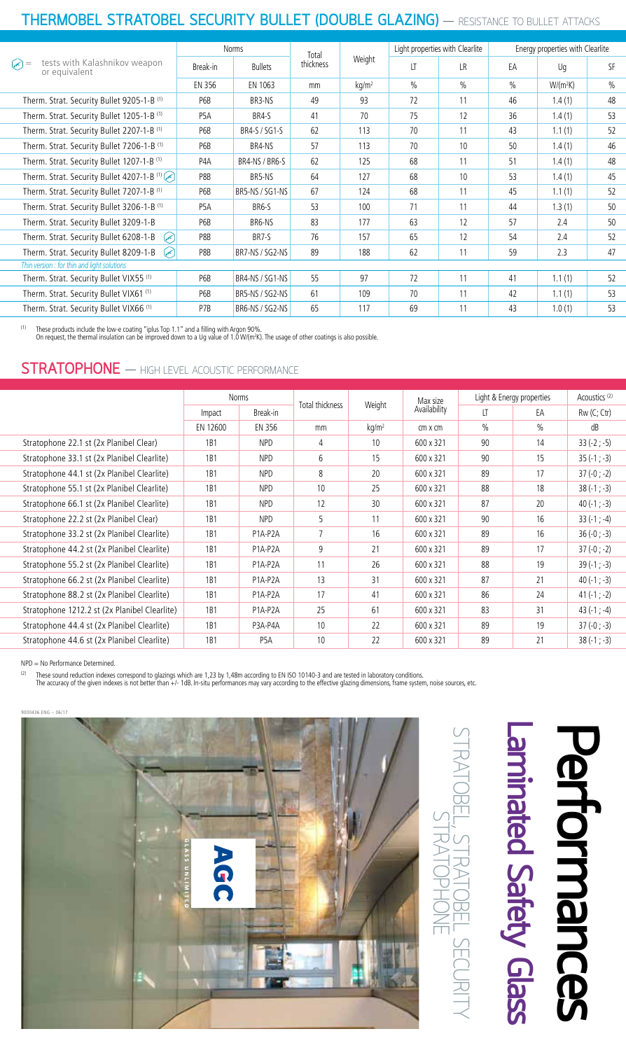### **THERMOBEL STRATOBEL SECURITY BULLET (DOUBLE GLAZING)** - RESISTANCE TO BULLET ATTACKS

| <b>Norms</b>                               |                 |           |          |        |      | Energy properties with Clearlite |            |               |  |  |
|--------------------------------------------|-----------------|-----------|----------|--------|------|----------------------------------|------------|---------------|--|--|
| Break-in                                   | <b>Bullets</b>  | thickness |          | lT     | LR.  | EA                               | Uq         | SF            |  |  |
| EN 356                                     | EN 1063         | mm        | $kq/m^2$ | $\%$   | $\%$ | $\frac{0}{0}$                    | $W/(m^2K)$ | $\frac{0}{0}$ |  |  |
| P6B                                        | BR3-NS          | 49        | 93       | 72     | 11   | 46                               | 1.4(1)     | 48            |  |  |
| P <sub>5</sub> A                           | BR4-S           | 41        | 70       | 75     | 12   | 36                               | 1.4(1)     | 53            |  |  |
| P6B                                        | BR4-S / SG1-S   | 62        | 113      | 70     | 11   | 43                               | 1.1(1)     | 52            |  |  |
| P6B                                        | BR4-NS          | 57        | 113      | 70     | 10   | 50                               | 1.4(1)     | 46            |  |  |
| P <sub>4</sub> A                           | BR4-NS / BR6-S  | 62        | 125      | 68     | 11   | 51                               | 1.4(1)     | 48            |  |  |
| P8B                                        | BR5-NS          | 64        | 127      | 68     | 10   | 53                               | 1.4(1)     | 45            |  |  |
| P6B                                        | BR5-NS / SG1-NS | 67        | 124      | 68     | 11   | 45                               | 1.1(1)     | 52            |  |  |
| P <sub>5</sub> A                           | BR6-S           | 53        | 100      | 71     | 11   | 44                               | 1.3(1)     | 50            |  |  |
| P6B                                        | BR6-NS          | 83        | 177      | 63     | 12   | 57                               | 2.4        | 50            |  |  |
| P8B                                        | BR7-S           | 76        | 157      | 65     | 12   | 54                               | 2.4        | 52            |  |  |
| P8B                                        | BR7-NS / SG2-NS | 89        | 188      | 62     | 11   | 59                               | 2.3        | 47            |  |  |
| Thin version: for thin and light solutions |                 |           |          |        |      |                                  |            |               |  |  |
| P6B                                        | BR4-NS / SG1-NS | 55        | 97       | 72     | 11   | 41                               | 1.1(1)     | 52            |  |  |
| P6B                                        | BR5-NS / SG2-NS | 61        | 109      | 70     | 11   | 42                               | 1.1(1)     | 53            |  |  |
| P7B                                        | BR6-NS / SG2-NS | 65        | 117      | 69     | 11   | 43                               | 1.0(1)     | 53            |  |  |
|                                            |                 |           | Total    | Weight |      | Light properties with Clearlite  |            |               |  |  |

<sup>(1)</sup> These products include the low-e coating "iplus Top 1.1" and a filling with Argon 90%.<br>On request, the thermal insulation can be improved down to a Ug value of 1.0 W/(m<sup>2</sup>K). The usage of other coatings is also possi

#### **STRATOPHONE** - HIGH LEVEL ACOUSTIC PERFORMANCE

|                                               | Norms            |                  | Total thickness | Weight            | Max size       | Light & Energy properties |               | Acoustics <sup>(2)</sup> |
|-----------------------------------------------|------------------|------------------|-----------------|-------------------|----------------|---------------------------|---------------|--------------------------|
|                                               | Impact           | Break-in         |                 |                   | Availability   | LT                        | EA            | Rw (C; Ctr)              |
|                                               | EN 12600         | EN 356           | mm              | kq/m <sup>2</sup> | $cm \times cm$ | $\frac{0}{0}$             | $\frac{0}{0}$ | dB                       |
| Stratophone 22.1 st (2x Planibel Clear)       | 1 <sub>B</sub> 1 | <b>NPD</b>       | 4               | 10                | 600 x 321      | 90                        | 14            | $33(-2; -5)$             |
| Stratophone 33.1 st (2x Planibel Clearlite)   | 1B1              | <b>NPD</b>       | 6               | 15                | 600 x 321      | 90                        | 15            | $35(-1; -3)$             |
| Stratophone 44.1 st (2x Planibel Clearlite)   | 1B1              | <b>NPD</b>       | 8               | 20                | 600 x 321      | 89                        | 17            | $37(-0; -2)$             |
| Stratophone 55.1 st (2x Planibel Clearlite)   | 1B1              | <b>NPD</b>       | 10              | 25                | 600 x 321      | 88                        | 18            | $38(-1; -3)$             |
| Stratophone 66.1 st (2x Planibel Clearlite)   | 1B1              | <b>NPD</b>       | 12              | 30                | 600 x 321      | 87                        | 20            | $40(-1; -3)$             |
| Stratophone 22.2 st (2x Planibel Clear)       | 1B1              | <b>NPD</b>       | 5               | 11                | 600 x 321      | 90                        | 16            | $33(-1; -4)$             |
| Stratophone 33.2 st (2x Planibel Clearlite)   | 1B1              | P1A-P2A          | $\overline{7}$  | 16                | 600 x 321      | 89                        | 16            | $36(-0; -3)$             |
| Stratophone 44.2 st (2x Planibel Clearlite)   | 1B1              | P1A-P2A          | 9               | 21                | 600 x 321      | 89                        | 17            | $37(-0; -2)$             |
| Stratophone 55.2 st (2x Planibel Clearlite)   | 1B1              | P1A-P2A          | 11              | 26                | 600 x 321      | 88                        | 19            | $39(-1; -3)$             |
| Stratophone 66.2 st (2x Planibel Clearlite)   | 1B1              | P1A-P2A          | 13              | 31                | 600 x 321      | 87                        | 21            | $40(-1; -3)$             |
| Stratophone 88.2 st (2x Planibel Clearlite)   | 1B1              | P1A-P2A          | 17              | 41                | 600 x 321      | 86                        | 24            | $41(-1; -2)$             |
| Stratophone 1212.2 st (2x Planibel Clearlite) | 1B1              | P1A-P2A          | 25              | 61                | 600 x 321      | 83                        | 31            | $43(-1; -4)$             |
| Stratophone 44.4 st (2x Planibel Clearlite)   | 1B1              | P3A-P4A          | 10              | 22                | 600 x 321      | 89                        | 19            | $37(-0; -3)$             |
| Stratophone 44.6 st (2x Planibel Clearlite)   | 1B1              | P <sub>5</sub> A | 10              | 22                | 600 x 321      | 89                        | 21            | $38(-1; -3)$             |

NPD = No Performance Determined.

<sup>(2)</sup> These sound reduction indexes correspond to glazings which are 1,23 by 1,48m according to EN ISO 10140-3 and are tested in laboratory conditions.<br>The accuracy of the given indexes is not better than +/- 1dB. In-situ



# **Laminated Safety Glass** Performances **Performances**  aminated Safety Glass